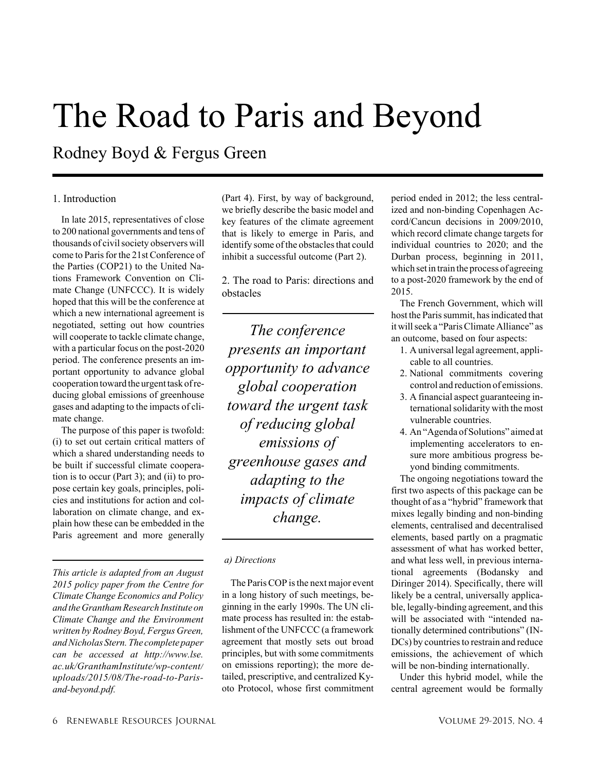# The Road to Paris and Beyond

Rodney Boyd & Fergus Green

# 1. Introduction

In late 2015, representatives of close to 200 national governments and tens of thousands of civil society observers will come to Paris for the 21st Conference of the Parties (COP21) to the United Nations Framework Convention on Climate Change (UNFCCC). It is widely hoped that this will be the conference at which a new international agreement is negotiated, setting out how countries will cooperate to tackle climate change, with a particular focus on the post-2020 period. The conference presents an important opportunity to advance global cooperation toward the urgent task of reducing global emissions of greenhouse gases and adapting to the impacts of climate change.

The purpose of this paper is twofold: (i) to set out certain critical matters of which a shared understanding needs to be built if successful climate cooperation is to occur (Part 3); and (ii) to propose certain key goals, principles, policies and institutions for action and collaboration on climate change, and explain how these can be embedded in the Paris agreement and more generally

*This article is adapted from an August 2015 policy paper from the Centre for Climate Change Economics and Policy and theGranthamResearch Institute on Climate Change and the Environment written by Rodney Boyd, Fergus Green, andNicholas Stern.The complete paper can be accessed at http://www.lse. ac.uk/GranthamInstitute/wp-content/ uploads/2015/08/The-road-to-Parisand-beyond.pdf.*

(Part 4). First, by way of background, we briefly describe the basic model and key features of the climate agreement that is likely to emerge in Paris, and identify some of the obstacles that could inhibit a successful outcome (Part 2).

2. The road to Paris: directions and obstacles

*The conference presents an important opportunity to advance global cooperation toward the urgent task of reducing global emissions of greenhouse gases and adapting to the impacts of climate change.*

#### *a) Directions*

The Paris COP is the next major event in a long history of such meetings, beginning in the early 1990s. The UN climate process has resulted in: the establishment of the UNFCCC (a framework agreement that mostly sets out broad principles, but with some commitments on emissions reporting); the more detailed, prescriptive, and centralized Kyoto Protocol, whose first commitment period ended in 2012; the less centralized and non-binding Copenhagen Accord/Cancun decisions in 2009/2010, which record climate change targets for individual countries to 2020; and the Durban process, beginning in 2011, which setin train the process of agreeing to a post-2020 framework by the end of 2015.

The French Government, which will host the Paris summit, has indicated that itwillseek a "ParisClimateAlliance" as an outcome, based on four aspects:

- 1. A universal legal agreement, applicable to all countries.
- 2. National commitments covering control and reduction of emissions.
- 3. A financial aspect guaranteeing international solidarity with the most vulnerable countries.
- 4. An "Agenda of Solutions" aimed at implementing accelerators to ensure more ambitious progress beyond binding commitments.

The ongoing negotiations toward the first two aspects of this package can be thought of as a "hybrid" framework that mixes legally binding and non-binding elements, centralised and decentralised elements, based partly on a pragmatic assessment of what has worked better, and what less well, in previous international agreements (Bodansky and Diringer 2014). Specifically, there will likely be a central, universally applicable, legally-binding agreement, and this will be associated with "intended nationally determined contributions" (IN-DCs) by countries to restrain and reduce emissions, the achievement of which will be non-binding internationally.

Under this hybrid model, while the central agreement would be formally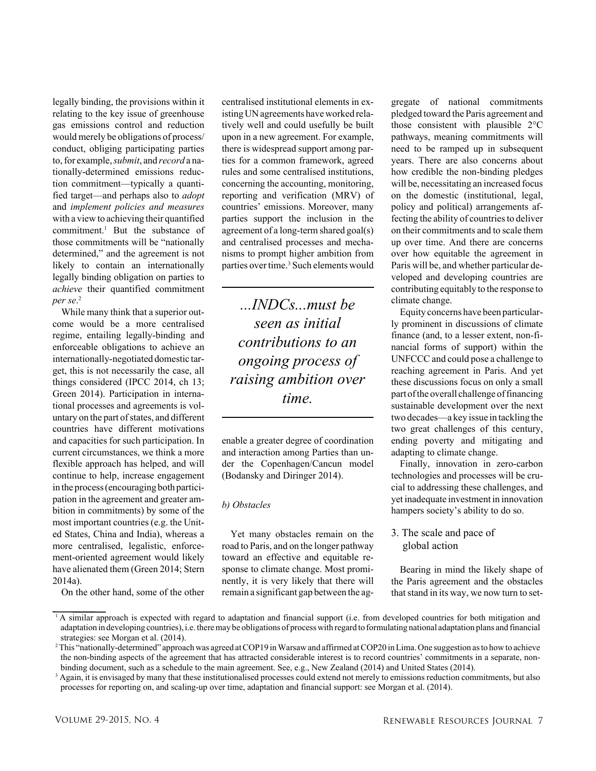legally binding, the provisions within it relating to the key issue of greenhouse gas emissions control and reduction would merely be obligations of process/ conduct, obliging participating parties to,for example,*submit*, and *record* a nationally-determined emissions reduction commitment—typically a quantified target—and perhaps also to *adopt* and *implement policies and measures* with a view to achieving their quantified commitment. <sup>1</sup> But the substance of those commitments will be "nationally determined," and the agreement is not likely to contain an internationally legally binding obligation on parties to *achieve* their quantified commitment *per se*. 2

While many think that a superior outcome would be a more centralised regime, entailing legally-binding and enforceable obligations to achieve an internationally-negotiated domestic target, this is not necessarily the case, all things considered (IPCC 2014, ch 13; Green 2014). Participation in international processes and agreements is voluntary on the part of states, and different countries have different motivations and capacities for such participation. In current circumstances, we think a more flexible approach has helped, and will continue to help, increase engagement in the process(encouraging both participation in the agreement and greater ambition in commitments) by some of the most important countries (e.g. the United States, China and India), whereas a more centralised, legalistic, enforcement-oriented agreement would likely have alienated them (Green 2014; Stern 2014a).

On the other hand, some of the other

centralised institutional elements in existing UN agreements have worked relatively well and could usefully be built upon in a new agreement. For example, there is widespread support among parties for a common framework, agreed rules and some centralised institutions, concerning the accounting, monitoring, reporting and verification (MRV) of countries' emissions. Moreover, many parties support the inclusion in the agreement of a long-term shared goal(s) and centralised processes and mechanisms to prompt higher ambition from parties over time.<sup>3</sup> Such elements would

*...INDCs...must be seen as initial contributions to an ongoing process of raising ambition over time.*

enable a greater degree of coordination and interaction among Parties than under the Copenhagen/Cancun model (Bodansky and Diringer 2014).

#### *b) Obstacles*

Yet many obstacles remain on the road to Paris, and on the longer pathway toward an effective and equitable response to climate change. Most prominently, it is very likely that there will remain a significant gap between the ag-

gregate of national commitments pledged toward the Paris agreement and those consistent with plausible 2°C pathways, meaning commitments will need to be ramped up in subsequent years. There are also concerns about how credible the non-binding pledges will be, necessitating an increased focus on the domestic (institutional, legal, policy and political) arrangements affecting the ability of countries to deliver on their commitments and to scale them up over time. And there are concerns over how equitable the agreement in Paris will be, and whether particular developed and developing countries are contributing equitably to the response to climate change.

Equity concerns have been particularly prominent in discussions of climate finance (and, to a lesser extent, non-financial forms of support) within the UNFCCC and could pose a challenge to reaching agreement in Paris. And yet these discussions focus on only a small part ofthe overall challenge offinancing sustainable development over the next two decades—a key issue in tackling the two great challenges of this century, ending poverty and mitigating and adapting to climate change.

Finally, innovation in zero-carbon technologies and processes will be crucial to addressing these challenges, and yet inadequate investment in innovation hampers society's ability to do so.

# 3. The scale and pace of global action

Bearing in mind the likely shape of the Paris agreement and the obstacles that stand in its way, we now turn to set-

<sup>&</sup>lt;sup>1</sup> A similar approach is expected with regard to adaptation and financial support (i.e. from developed countries for both mitigation and adaptation in developing countries), i.e. theremay be obligations of processwith regard to formulating national adaptation plans and financial strategies: see Morgan et al. (2014).

<sup>&</sup>lt;sup>2</sup>This "nationally-determined" approach was agreed at COP19 in Warsaw and affirmed at COP20 in Lima. One suggestion as to how to achieve the non-binding aspects of the agreement that has attracted considerable interest is to record countries' commitments in a separate, nonbinding document, such as a schedule to the main agreement. See, e.g., New Zealand (2014) and United States (2014).

<sup>&</sup>lt;sup>3</sup> Again, it is envisaged by many that these institutionalised processes could extend not merely to emissions reduction commitments, but also processes for reporting on, and scaling-up over time, adaptation and financial support: see Morgan et al. (2014).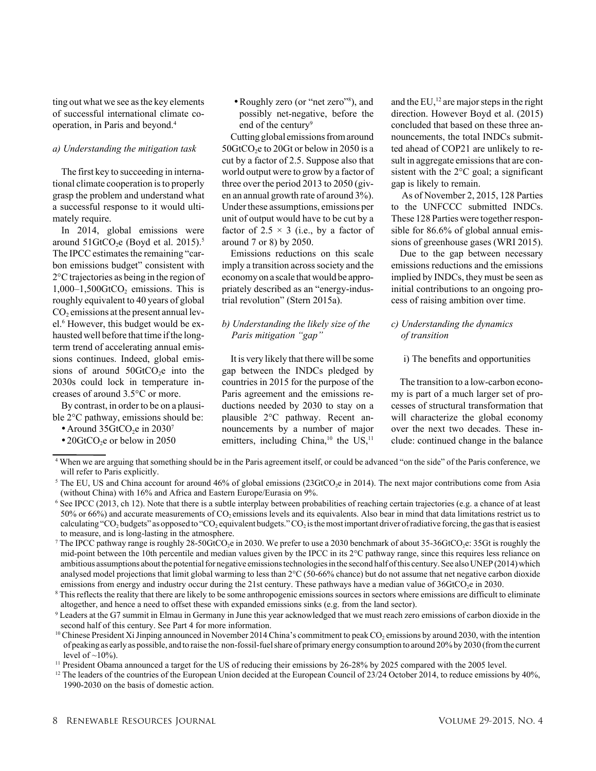ting out what we see asthe key elements of successful international climate cooperation, in Paris and beyond. 4

#### *a) Understanding the mitigation task*

The first key to succeeding in international climate cooperation isto properly grasp the problem and understand what a successful response to it would ultimately require.

In 2014, global emissions were around  $51 \text{GtCO}_2$ e (Boyd et al. 2015).<sup>5</sup> The IPCC estimates the remaining "carbon emissions budget" consistent with 2°Ctrajectories as being in the region of  $1,000-1,500$ GtCO<sub>2</sub> emissions. This is roughly equivalent to 40 years of global  $CO<sub>2</sub>$  emissions at the present annual level. <sup>6</sup> However, this budget would be exhausted well before that time if the longterm trend of accelerating annual emissions continues. Indeed, global emissions of around  $50GtCO<sub>2</sub>e$  into the 2030s could lock in temperature increases of around 3.5°C or more.

By contrast, in order to be on a plausible 2°C pathway, emissions should be:

- Around 35GtCO<sub>2</sub>e in 2030<sup>7</sup>
- $\cdot$  20GtCO<sub>2</sub>e or below in 2050

•Roughly zero (or "net zero"8 ), and possibly net-negative, before the end of the century<sup>9</sup>

Cutting global emissions from around 50GtCO<sub>2</sub>e to 20Gt or below in 2050 is a cut by a factor of 2.5. Suppose also that world output were to grow by a factor of three over the period 2013 to 2050 (given an annual growth rate of around 3%). Underthese assumptions, emissions per unit of output would have to be cut by a factor of 2.5  $\times$  3 (i.e., by a factor of around 7 or 8) by 2050.

Emissions reductions on this scale imply a transition across society and the economy on a scale thatwould be appropriately described as an "energy-industrial revolution" (Stern 2015a).

## *b) Understanding the likely size of the Paris mitigation "gap"*

It is very likely that there will be some gap between the INDCs pledged by countries in 2015 for the purpose of the Paris agreement and the emissions reductions needed by 2030 to stay on a plausible 2°C pathway. Recent announcements by a number of major emitters, including China,<sup>10</sup> the US,<sup>11</sup>

and the  $EU<sub>1</sub><sup>12</sup>$  are major steps in the right direction. However Boyd et al. (2015) concluded that based on these three announcements, the total INDCs submitted ahead of COP21 are unlikely to result in aggregate emissions that are consistent with the 2°C goal; a significant gap is likely to remain.

As of November 2, 2015, 128 Parties to the UNFCCC submitted INDCs. These 128 Parties were together responsible for 86.6% of global annual emissions of greenhouse gases (WRI 2015).

Due to the gap between necessary emissions reductions and the emissions implied by INDCs, they must be seen as initial contributions to an ongoing process of raising ambition over time.

# *c) Understanding the dynamics of transition*

## i) The benefits and opportunities

The transition to a low-carbon economy is part of a much larger set of processes of structural transformation that will characterize the global economy over the next two decades. These include: continued change in the balance

<sup>4</sup> When we are arguing that something should be in the Paris agreement itself, or could be advanced "on the side" of the Paris conference, we will refer to Paris explicitly.

<sup>&</sup>lt;sup>5</sup> The EU, US and China account for around 46% of global emissions (23GtCO<sub>2</sub>e in 2014). The next major contributions come from Asia (without China) with 16% and Africa and Eastern Europe/Eurasia on 9%.

<sup>&</sup>lt;sup>6</sup> See IPCC (2013, ch 12). Note that there is a subtle interplay between probabilities of reaching certain trajectories (e.g. a chance of at least  $50\%$  or 66%) and accurate measurements of CO<sub>2</sub> emissions levels and its equivalents. Also bear in mind that data limitations restrict us to calculating "CO<sub>2</sub> budgets" as opposed to "CO<sub>2</sub> equivalent budgets." CO<sub>2</sub> is the most important driver of radiative forcing, the gas that is easiest to measure, and is long-lasting in the atmosphere.

<sup>&</sup>lt;sup>7</sup> The IPCC pathway range is roughly 28-50GtCO<sub>2</sub>e in 2030. We prefer to use a 2030 benchmark of about 35-36GtCO<sub>2</sub>e: 35Gt is roughly the mid-point between the 10th percentile and median values given by the IPCC in its 2°C pathway range, since this requires less reliance on ambitious assumptions about the potential for negative emissions technologies in the second half of this century. See also UNEP (2014) which analysed model projections that limit global warming to less than 2°C (50-66% chance) but do not assume that net negative carbon dioxide emissions from energy and industry occur during the 21st century. These pathways have a median value of  $36GtCO<sub>2</sub>e$  in 2030.

 $\delta$  This reflects the reality that there are likely to be some anthropogenic emissions sources in sectors where emissions are difficult to eliminate altogether, and hence a need to offset these with expanded emissions sinks (e.g. from the land sector).

 $9$  Leaders at the G7 summit in Elmau in Germany in June this year acknowledged that we must reach zero emissions of carbon dioxide in the second half of this century. See Part 4 for more information.

<sup>&</sup>lt;sup>10</sup> Chinese President Xi Jinping announced in November 2014 China's commitment to peak CO<sub>2</sub> emissions by around 2030, with the intention of peaking as early as possible, and to raise the non-fossil-fuelshare of primary energy consumption to around 20%by 2030 (fromthe current level of  $\sim$ 10%).

<sup>&</sup>lt;sup>11</sup> President Obama announced a target for the US of reducing their emissions by 26-28% by 2025 compared with the 2005 level.

<sup>&</sup>lt;sup>12</sup> The leaders of the countries of the European Union decided at the European Council of 23/24 October 2014, to reduce emissions by 40%, 1990-2030 on the basis of domestic action.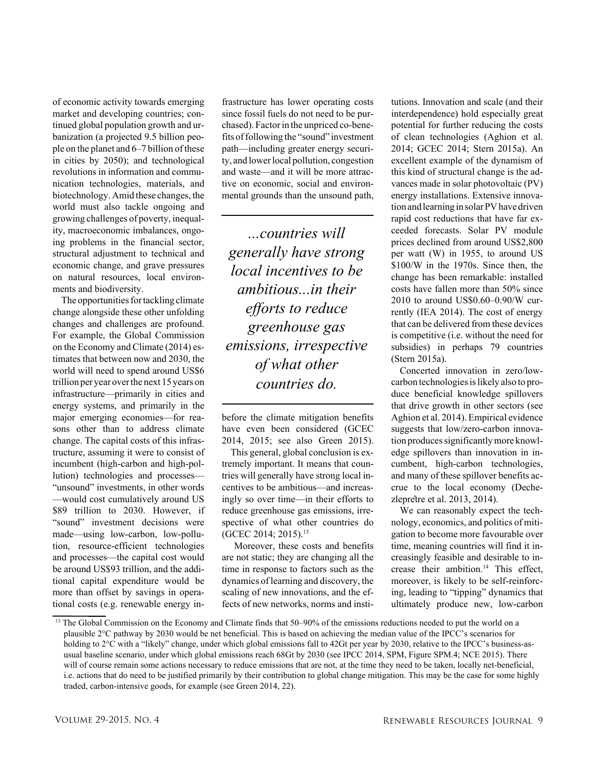of economic activity towards emerging market and developing countries; continued global population growth and urbanization (a projected 9.5 billion people on the planet and  $6-7$  billion of these in cities by 2050); and technological revolutions in information and communication technologies, materials, and biotechnology. Amid these changes, the world must also tackle ongoing and growing challenges of poverty, inequality, macroeconomic imbalances, ongoing problems in the financial sector, structural adjustment to technical and economic change, and grave pressures on natural resources, local environments and biodiversity.

The opportunities for tackling climate change alongside these other unfolding changes and challenges are profound. For example, the Global Commission on the Economy and Climate (2014) estimates that between now and 2030, the world will need to spend around US\$6 trillion per year overthe next 15 years on infrastructure—primarily in cities and energy systems, and primarily in the major emerging economies—for reasons other than to address climate change. The capital costs of this infrastructure, assuming it were to consist of incumbent (high-carbon and high-pollution) technologies and processes— "unsound" investments, in other words —would cost cumulatively around US \$89 trillion to 2030. However, if "sound" investment decisions were made—using low-carbon, low-pollution, resource-efficient technologies and processes—the capital cost would be around US\$93 trillion, and the additional capital expenditure would be more than offset by savings in operational costs (e.g. renewable energy in-

frastructure has lower operating costs since fossil fuels do not need to be purchased). Factor in the unpriced co-benefits of following the "sound" investment path—including greater energy security, and lower local pollution, congestion and waste—and it will be more attractive on economic, social and environmental grounds than the unsound path,

*...countries will generally have strong local incentives to be ambitious...in their efforts to reduce greenhouse gas emissions, irrespective of what other countries do.*

before the climate mitigation benefits have even been considered (GCEC 2014, 2015; see also Green 2015).

This general, global conclusion is extremely important. It means that countries will generally have strong local incentives to be ambitious—and increasingly so over time—in their efforts to reduce greenhouse gas emissions, irrespective of what other countries do (GCEC 2014; 2015). 13

Moreover, these costs and benefits are not static; they are changing all the time in response to factors such as the dynamics of learning and discovery, the scaling of new innovations, and the effects of new networks, norms and institutions. Innovation and scale (and their interdependence) hold especially great potential for further reducing the costs of clean technologies (Aghion et al. 2014; GCEC 2014; Stern 2015a). An excellent example of the dynamism of this kind of structural change is the advances made in solar photovoltaic (PV) energy installations. Extensive innovation and learning in solar PV have driven rapid cost reductions that have far exceeded forecasts. Solar PV module prices declined from around US\$2,800 per watt (W) in 1955, to around US \$100/W in the 1970s. Since then, the change has been remarkable: installed costs have fallen more than 50% since 2010 to around US\$0.60–0.90/W currently (IEA 2014). The cost of energy that can be delivered from these devices is competitive (i.e. without the need for subsidies) in perhaps 79 countries (Stern 2015a).

Concerted innovation in zero/lowcarbon technologies is likely also to produce beneficial knowledge spillovers that drive growth in other sectors (see Aghion et al. 2014). Empirical evidence suggests that low/zero-carbon innovation produces significantly more knowledge spillovers than innovation in incumbent, high-carbon technologies, and many of these spillover benefits accrue to the local economy (Dechezleprêtre et al. 2013, 2014).

We can reasonably expect the technology, economics, and politics of mitigation to become more favourable over time, meaning countries will find it increasingly feasible and desirable to increase their ambition. <sup>14</sup> This effect, moreover, is likely to be self-reinforcing, leading to "tipping" dynamics that ultimately produce new, low-carbon

<sup>&</sup>lt;sup>13</sup> The Global Commission on the Economy and Climate finds that 50–90% of the emissions reductions needed to put the world on a plausible 2°C pathway by 2030 would be net beneficial. This is based on achieving the median value of the IPCC's scenarios for holding to 2°C with a "likely" change, under which global emissions fall to 42Gt per year by 2030, relative to the IPCC's business-asusual baseline scenario, under which global emissions reach 68Gt by 2030 (see IPCC 2014, SPM, Figure SPM.4; NCE 2015). There will of course remain some actions necessary to reduce emissions that are not, at the time they need to be taken, locally net-beneficial, i.e. actions that do need to be justified primarily by their contribution to global change mitigation. This may be the case for some highly traded, carbon-intensive goods, for example (see Green 2014, 22).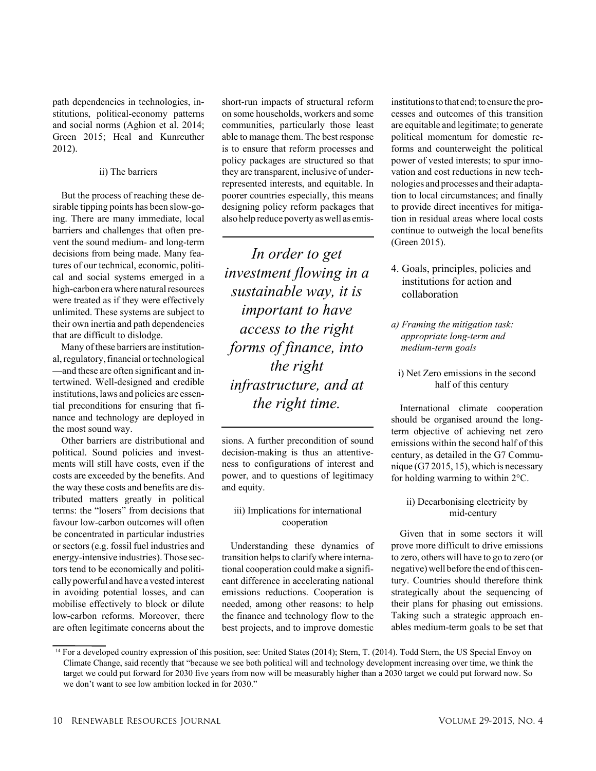path dependencies in technologies, institutions, political-economy patterns and social norms (Aghion et al. 2014; Green 2015; Heal and Kunreuther 2012).

#### ii) The barriers

But the process of reaching these desirable tipping points has been slow-going. There are many immediate, local barriers and challenges that often prevent the sound medium- and long-term decisions from being made. Many features of our technical, economic, political and social systems emerged in a high-carbon era where natural resources were treated as if they were effectively unlimited. These systems are subject to their own inertia and path dependencies that are difficult to dislodge.

Many of these barriers are institutional,regulatory,financial ortechnological —and these are often significant and intertwined. Well-designed and credible institutions, laws and policies are essential preconditions for ensuring that finance and technology are deployed in the most sound way.

Other barriers are distributional and political. Sound policies and investments will still have costs, even if the costs are exceeded by the benefits. And the way these costs and benefits are distributed matters greatly in political terms: the "losers" from decisions that favour low-carbon outcomes will often be concentrated in particular industries or sectors (e.g. fossil fuel industries and energy-intensive industries).Those sectors tend to be economically and politically powerful and have a vested interest in avoiding potential losses, and can mobilise effectively to block or dilute low-carbon reforms. Moreover, there are often legitimate concerns about the

short-run impacts of structural reform on some households, workers and some communities, particularly those least able to manage them. The best response is to ensure that reform processes and policy packages are structured so that they are transparent, inclusive of underrepresented interests, and equitable. In poorer countries especially, this means designing policy reform packages that also help reduce poverty aswell as emis-

*In order to get investment flowing in a sustainable way, it is important to have access to the right forms of finance, into the right infrastructure, and at the right time.*

sions. A further precondition of sound decision-making is thus an attentiveness to configurations of interest and power, and to questions of legitimacy and equity.

## iii) Implications for international cooperation

Understanding these dynamics of transition helps to clarify where international cooperation could make a significant difference in accelerating national emissions reductions. Cooperation is needed, among other reasons: to help the finance and technology flow to the best projects, and to improve domestic

institutions to that end; to ensure the processes and outcomes of this transition are equitable and legitimate; to generate political momentum for domestic reforms and counterweight the political power of vested interests; to spur innovation and cost reductions in new technologies and processes and their adaptation to local circumstances; and finally to provide direct incentives for mitigation in residual areas where local costs continue to outweigh the local benefits (Green 2015).

- 4. Goals, principles, policies and institutions for action and collaboration
- *a) Framing the mitigation task: appropriate long-term and medium-term goals*
	- i) Net Zero emissions in the second half of this century

International climate cooperation should be organised around the longterm objective of achieving net zero emissions within the second half of this century, as detailed in the G7 Communique (G7 2015, 15), which is necessary for holding warming to within 2°C.

## ii) Decarbonising electricity by mid-century

Given that in some sectors it will prove more difficult to drive emissions to zero, others will have to go to zero (or negative)well before the end ofthis century. Countries should therefore think strategically about the sequencing of their plans for phasing out emissions. Taking such a strategic approach enables medium-term goals to be set that

<sup>&</sup>lt;sup>14</sup> For a developed country expression of this position, see: United States (2014); Stern, T. (2014). Todd Stern, the US Special Envoy on Climate Change, said recently that "because we see both political will and technology development increasing over time, we think the target we could put forward for 2030 five years from now will be measurably higher than a 2030 target we could put forward now. So we don't want to see low ambition locked in for 2030."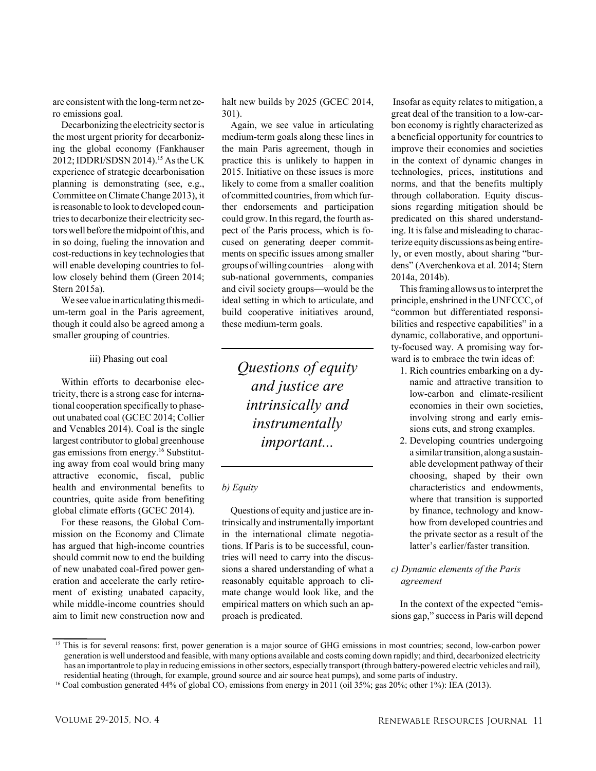are consistent with the long-term net zero emissions goal.

Decarbonizing the electricity sectoris the most urgent priority for decarbonizing the global economy (Fankhauser 2012;IDDRI/SDSN 2014). <sup>15</sup> Asthe UK experience of strategic decarbonisation planning is demonstrating (see, e.g., Committee on Climate Change 2013), it is reasonable to look to developed countries to decarbonize their electricity sectors well before the midpoint of this, and in so doing, fueling the innovation and cost-reductions in key technologies that will enable developing countries to follow closely behind them (Green 2014; Stern 2015a).

We see value in articulating this medium-term goal in the Paris agreement, though it could also be agreed among a smaller grouping of countries.

#### iii) Phasing out coal

Within efforts to decarbonise electricity, there is a strong case for international cooperation specifically to phaseout unabated coal (GCEC 2014; Collier and Venables 2014). Coal is the single largest contributor to global greenhouse gas emissions from energy. <sup>16</sup> Substituting away from coal would bring many attractive economic, fiscal, public health and environmental benefits to countries, quite aside from benefiting global climate efforts (GCEC 2014).

For these reasons, the Global Commission on the Economy and Climate has argued that high-income countries should commit now to end the building of new unabated coal-fired power generation and accelerate the early retirement of existing unabated capacity, while middle-income countries should aim to limit new construction now and

halt new builds by 2025 (GCEC 2014, 301).

Again, we see value in articulating medium-term goals along these lines in the main Paris agreement, though in practice this is unlikely to happen in 2015. Initiative on these issues is more likely to come from a smaller coalition of committed countries, from which further endorsements and participation could grow.In thisregard, the fourth aspect of the Paris process, which is focused on generating deeper commitments on specific issues among smaller groups ofwilling countries—alongwith sub-national governments, companies and civil society groups—would be the ideal setting in which to articulate, and build cooperative initiatives around, these medium-term goals.

> *Questions of equity and justice are intrinsically and instrumentally important...*

## *b) Equity*

Questions of equity and justice are intrinsically and instrumentally important in the international climate negotiations. If Paris is to be successful, countries will need to carry into the discussions a shared understanding of what a reasonably equitable approach to climate change would look like, and the empirical matters on which such an approach is predicated.

Insofar as equity relates to mitigation, a great deal of the transition to a low-carbon economy is rightly characterized as a beneficial opportunity for countriesto improve their economies and societies in the context of dynamic changes in technologies, prices, institutions and norms, and that the benefits multiply through collaboration. Equity discussions regarding mitigation should be predicated on this shared understanding. It is false and misleading to characterize equity discussions as being entirely, or even mostly, about sharing "burdens" (Averchenkova et al. 2014; Stern 2014a, 2014b).

This framing allows us to interpret the principle, enshrined in the UNFCCC, of "common but differentiated responsibilities and respective capabilities" in a dynamic, collaborative, and opportunity-focused way. A promising way forward is to embrace the twin ideas of:

- 1. Rich countries embarking on a dynamic and attractive transition to low-carbon and climate-resilient economies in their own societies, involving strong and early emissions cuts, and strong examples.
- 2. Developing countries undergoing a similartransition, along a sustainable development pathway of their choosing, shaped by their own characteristics and endowments, where that transition is supported by finance, technology and knowhow from developed countries and the private sector as a result of the latter's earlier/faster transition.

## *c) Dynamic elements of the Paris agreement*

In the context of the expected "emissions gap," success in Paris will depend

<sup>&</sup>lt;sup>15</sup> This is for several reasons: first, power generation is a major source of GHG emissions in most countries; second, low-carbon power generation is well understood and feasible, with many options available and costs coming down rapidly; and third, decarbonized electricity has an importantrole to play in reducing emissions in other sectors, especially transport (through battery-powered electric vehicles and rail), residential heating (through, for example, ground source and air source heat pumps), and some parts of industry.

<sup>&</sup>lt;sup>16</sup> Coal combustion generated 44% of global CO<sub>2</sub> emissions from energy in 2011 (oil 35%; gas 20%; other 1%): IEA (2013).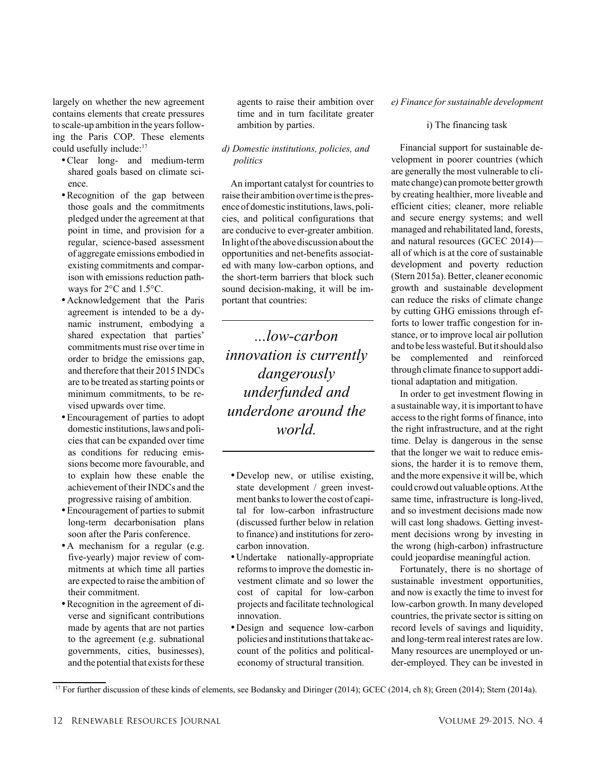largely on whether the new agreement contains elements that create pressures to scale-up ambition in the years following the Paris COP. These elements could usefully include: 17

- •Clear long- and medium-term shared goals based on climate science.
- •Recognition of the gap between those goals and the commitments pledged under the agreement at that point in time, and provision for a regular, science-based assessment of aggregate emissions embodied in existing commitments and comparison with emissions reduction pathways for 2°C and 1.5°C.
- •Acknowledgement that the Paris agreement is intended to be a dynamic instrument, embodying a shared expectation that parties' commitments must rise over time in order to bridge the emissions gap, and therefore that their 2015 INDCs are to be treated asstarting points or minimum commitments, to be revised upwards over time.
- •Encouragement of parties to adopt domestic institutions, laws and policies that can be expanded over time as conditions for reducing emissions become more favourable, and to explain how these enable the achievement of their INDCs and the progressive raising of ambition.
- •Encouragement of parties to submit long-term decarbonisation plans soon after the Paris conference.
- •A mechanism for a regular (e.g. five-yearly) major review of commitments at which time all parties are expected to raise the ambition of their commitment.
- •Recognition in the agreement of diverse and significant contributions made by agents that are not parties to the agreement (e.g. subnational governments, cities, businesses), and the potential that exists for these

agents to raise their ambition over time and in turn facilitate greater ambition by parties.

## *d) Domestic institutions, policies, and politics*

An important catalyst for countriesto raise their ambition overtime isthe presence of domestic institutions,laws, policies, and political configurations that are conducive to ever-greater ambition. In light of the above discussion about the opportunities and net-benefits associated with many low-carbon options, and the short-term barriers that block such sound decision-making, it will be important that countries:

*...low-carbon innovation is currently dangerously underfunded and underdone around the world.*

- •Develop new, or utilise existing, state development / green investment banks to lower the cost of capital for low-carbon infrastructure (discussed further below in relation to finance) and institutions for zerocarbon innovation.
- •Undertake nationally-appropriate reforms to improve the domestic investment climate and so lower the cost of capital for low-carbon projects and facilitate technological innovation.
- •Design and sequence low-carbon policies and institutions that take account of the politics and politicaleconomy of structural transition.

#### $e)$  *Finance* for sustainable *development*

#### i) The financing task

Financial support for sustainable development in poorer countries (which are generally the most vulnerable to climate change) can promote better growth by creating healthier, more liveable and efficient cities; cleaner, more reliable and secure energy systems; and well managed and rehabilitated land, forests, and natural resources (GCEC 2014) all of which is at the core of sustainable development and poverty reduction (Stern 2015a). Better, cleaner economic growth and sustainable development can reduce the risks of climate change by cutting GHG emissions through efforts to lower traffic congestion for instance, or to improve local air pollution and to be less wasteful. But it should also be complemented and reinforced through climate finance to support additional adaptation and mitigation.

In order to get investment flowing in a sustainable way, it is important to have accessto the right forms of finance, into the right infrastructure, and at the right time. Delay is dangerous in the sense that the longer we wait to reduce emissions, the harder it is to remove them, and the more expensive it will be, which could crowd out valuable options.Atthe same time, infrastructure is long-lived, and so investment decisions made now will cast long shadows. Getting investment decisions wrong by investing in the wrong (high-carbon) infrastructure could jeopardise meaningful action.

Fortunately, there is no shortage of sustainable investment opportunities, and now is exactly the time to invest for low-carbon growth. In many developed countries, the private sector is sitting on record levels of savings and liquidity, and long-termreal interestrates are low. Many resources are unemployed or under-employed. They can be invested in

<sup>&</sup>lt;sup>17</sup> For further discussion of these kinds of elements, see Bodansky and Diringer (2014); GCEC (2014, ch 8); Green (2014); Stern (2014a).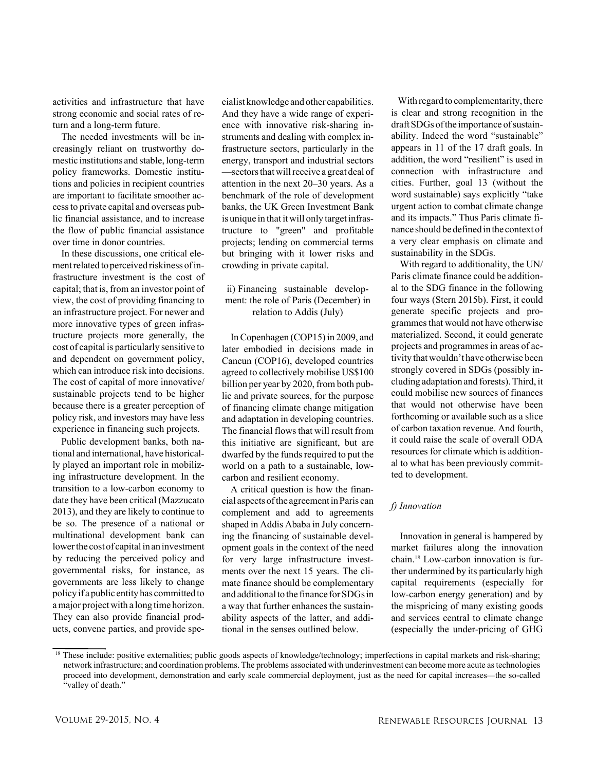activities and infrastructure that have strong economic and social rates of return and a long-term future.

The needed investments will be increasingly reliant on trustworthy domestic institutions and stable, long-term policy frameworks. Domestic institutions and policies in recipient countries are important to facilitate smoother accessto private capital and overseas public financial assistance, and to increase the flow of public financial assistance over time in donor countries.

In these discussions, one critical elementrelated to perceived riskiness ofinfrastructure investment is the cost of capital; that is, from an investor point of view, the cost of providing financing to an infrastructure project. For newer and more innovative types of green infrastructure projects more generally, the cost of capital is particularly sensitive to and dependent on government policy, which can introduce risk into decisions. The cost of capital of more innovative/ sustainable projects tend to be higher because there is a greater perception of policy risk, and investors may have less experience in financing such projects.

Public development banks, both national and international, have historically played an important role in mobilizing infrastructure development. In the transition to a low-carbon economy to date they have been critical (Mazzucato 2013), and they are likely to continue to be so. The presence of a national or multinational development bank can lower the cost of capital in an investment by reducing the perceived policy and governmental risks, for instance, as governments are less likely to change policy if a public entity has committed to amajor projectwith a long time horizon. They can also provide financial products, convene parties, and provide spe-

cialist knowledge and other capabilities. And they have a wide range of experience with innovative risk-sharing instruments and dealing with complex infrastructure sectors, particularly in the energy, transport and industrial sectors —sectorsthatwillreceive a great deal of attention in the next 20–30 years. As a benchmark of the role of development banks, the UK Green Investment Bank is unique in that it will only target infrastructure to "green" and profitable projects; lending on commercial terms but bringing with it lower risks and crowding in private capital.

## ii) Financing sustainable development: the role of Paris (December) in relation to Addis (July)

In Copenhagen (COP15) in 2009, and later embodied in decisions made in Cancun (COP16), developed countries agreed to collectively mobilise US\$100 billion per year by 2020, from both public and private sources, for the purpose of financing climate change mitigation and adaptation in developing countries. The financial flows that will result from this initiative are significant, but are dwarfed by the funds required to put the world on a path to a sustainable, lowcarbon and resilient economy.

A critical question is how the financial aspects ofthe agreementinParis can complement and add to agreements shaped in Addis Ababa in July concerning the financing of sustainable development goals in the context of the need for very large infrastructure investments over the next 15 years. The climate finance should be complementary and additional to the finance for SDGs in a way that further enhances the sustainability aspects of the latter, and additional in the senses outlined below.

With regard to complementarity, there is clear and strong recognition in the draft SDGs of the importance of sustainability. Indeed the word "sustainable" appears in 11 of the 17 draft goals. In addition, the word "resilient" is used in connection with infrastructure and cities. Further, goal 13 (without the word sustainable) says explicitly "take urgent action to combat climate change and its impacts." Thus Paris climate finance should be defined in the context of a very clear emphasis on climate and sustainability in the SDGs.

With regard to additionality, the UN/ Paris climate finance could be additional to the SDG finance in the following four ways (Stern 2015b). First, it could generate specific projects and programmes that would not have otherwise materialized. Second, it could generate projects and programmes in areas of activity thatwouldn't have otherwise been strongly covered in SDGs (possibly including adaptation and forests).Third, it could mobilise new sources of finances that would not otherwise have been forthcoming or available such as a slice of carbon taxation revenue. And fourth, it could raise the scale of overall ODA resources for climate which is additional to what has been previously committed to development.

## *f) Innovation*

Innovation in general is hampered by market failures along the innovation chain. <sup>18</sup> Low-carbon innovation is further undermined by its particularly high capital requirements (especially for low-carbon energy generation) and by the mispricing of many existing goods and services central to climate change (especially the under-pricing of GHG

<sup>&</sup>lt;sup>18</sup> These include: positive externalities; public goods aspects of knowledge/technology; imperfections in capital markets and risk-sharing; network infrastructure; and coordination problems. The problems associated with underinvestment can become more acute astechnologies proceed into development, demonstration and early scale commercial deployment, just as the need for capital increases—the so-called "valley of death."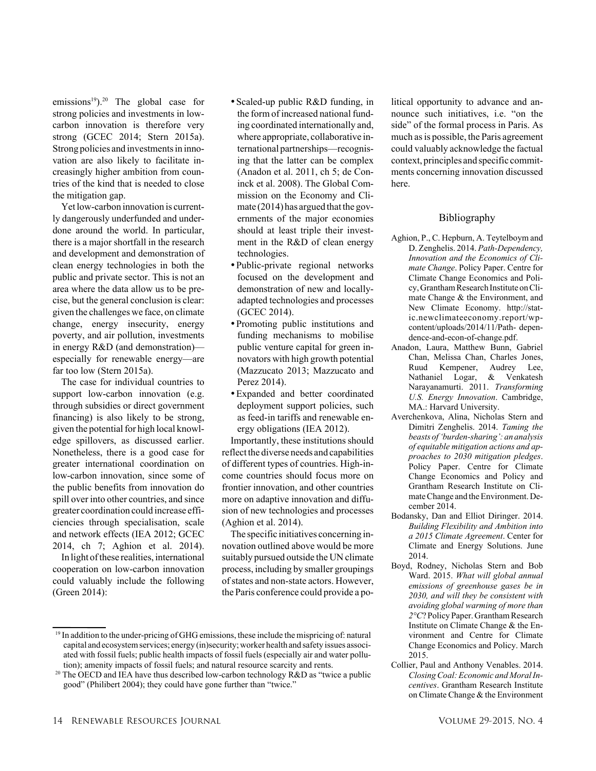emissions<sup>19</sup>).<sup>20</sup> The global case for strong policies and investments in lowcarbon innovation is therefore very strong (GCEC 2014; Stern 2015a). Strong policies and investments in innovation are also likely to facilitate increasingly higher ambition from countries of the kind that is needed to close the mitigation gap.

Yet low-carbon innovation is currently dangerously underfunded and underdone around the world. In particular, there is a major shortfall in the research and development and demonstration of clean energy technologies in both the public and private sector. This is not an area where the data allow us to be precise, but the general conclusion is clear: given the challenges we face, on climate change, energy insecurity, energy poverty, and air pollution, investments in energy R&D (and demonstration) especially for renewable energy—are far too low (Stern 2015a).

The case for individual countries to support low-carbon innovation (e.g. through subsidies or direct government financing) is also likely to be strong, given the potential for high local knowledge spillovers, as discussed earlier. Nonetheless, there is a good case for greater international coordination on low-carbon innovation, since some of the public benefits from innovation do spill over into other countries, and since greater coordination could increase efficiencies through specialisation, scale and network effects (IEA 2012; GCEC 2014, ch 7; Aghion et al. 2014).

In light of these realities, international cooperation on low-carbon innovation could valuably include the following (Green 2014):

- •Scaled-up public R&D funding, in the form of increased national funding coordinated internationally and, where appropriate, collaborative international partnerships—recognising that the latter can be complex (Anadon et al. 2011, ch 5; de Coninck et al. 2008). The Global Commission on the Economy and Climate  $(2014)$  has argued that the governments of the major economies should at least triple their investment in the R&D of clean energy technologies.
- •Public-private regional networks focused on the development and demonstration of new and locallyadapted technologies and processes (GCEC 2014).
- •Promoting public institutions and funding mechanisms to mobilise public venture capital for green innovators with high growth potential (Mazzucato 2013; Mazzucato and Perez 2014).
- •Expanded and better coordinated deployment support policies, such as feed-in tariffs and renewable energy obligations (IEA 2012).

Importantly, these institutions should reflectthe diverse needs and capabilities of different types of countries. High-income countries should focus more on frontier innovation, and other countries more on adaptive innovation and diffusion of new technologies and processes (Aghion et al. 2014).

The specific initiatives concerning innovation outlined above would be more suitably pursued outside the UN climate process, including by smaller groupings of states and non-state actors. However, the Paris conference could provide a political opportunity to advance and announce such initiatives, i.e. "on the side" of the formal process in Paris. As much as is possible, the Paris agreement could valuably acknowledge the factual context, principles and specific commitments concerning innovation discussed here.

# Bibliography

- Aghion, P., C. Hepburn, A. Teytelboym and D. Zenghelis. 2014. *Path-Dependency, Innovation and the Economics of Climate Change*. Policy Paper. Centre for Climate Change Economics and Policy,GranthamResearch Institute onClimate Change & the Environment, and New Climate Economy. http://static.newclimateeconomy.report/wpcontent/uploads/2014/11/Path- dependence-and-econ-of-change.pdf.
- Anadon, Laura, Matthew Bunn, Gabriel Chan, Melissa Chan, Charles Jones, Ruud Kempener, Audrey Lee, Nathaniel Logar, & Venkatesh Narayanamurti. 2011. *Transforming U.S. Energy Innovation*. Cambridge, MA.: Harvard University.
- Averchenkova, Alina, Nicholas Stern and Dimitri Zenghelis. 2014. *Taming the beasts of'burden-sharing': an analysis of equitable mitigation actions and approaches to 2030 mitigation pledges*. Policy Paper. Centre for Climate Change Economics and Policy and Grantham Research Institute on Climate Change and the Environment. December 2014.
- Bodansky, Dan and Elliot Diringer. 2014. *Building Flexibility and Ambition into a 2015 Climate Agreement*. Center for Climate and Energy Solutions. June 2014.
- Boyd, Rodney, Nicholas Stern and Bob Ward. 2015. *What will global annual emissions of greenhouse gases be in 2030, and will they be consistent with avoiding global warming of more than* 2°C? Policy Paper. Grantham Research Institute on Climate Change & the Environment and Centre for Climate Change Economics and Policy. March 2015.
- Collier, Paul and Anthony Venables. 2014. *ClosingCoal: Economic and MoralIncentives*. Grantham Research Institute on Climate Change & the Environment

 $19$  In addition to the under-pricing of GHG emissions, these include the mispricing of: natural capital and ecosystem services; energy (in)security; worker health and safety issues associ-ated with fossil fuels; public health impacts of fossil fuels (especially air and water pollution); amenity impacts of fossil fuels; and natural resource scarcity and rents.

<sup>&</sup>lt;sup>20</sup> The OECD and IEA have thus described low-carbon technology R&D as "twice a public good" (Philibert 2004); they could have gone further than "twice."